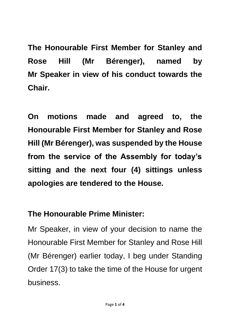**The Honourable First Member for Stanley and Rose Hill (Mr Bérenger), named by Mr Speaker in view of his conduct towards the Chair.** 

**On motions made and agreed to, the Honourable First Member for Stanley and Rose Hill (Mr Bérenger), was suspended by the House from the service of the Assembly for today's sitting and the next four (4) sittings unless apologies are tendered to the House.**

## **The Honourable Prime Minister:**

Mr Speaker, in view of your decision to name the Honourable First Member for Stanley and Rose Hill (Mr Bérenger) earlier today, I beg under Standing Order 17(3) to take the time of the House for urgent business.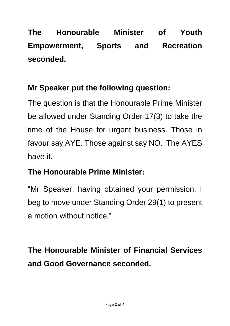**The Honourable Minister of Youth Empowerment, Sports and Recreation seconded.**

## **Mr Speaker put the following question:**

The question is that the Honourable Prime Minister be allowed under Standing Order 17(3) to take the time of the House for urgent business. Those in favour say AYE. Those against say NO. The AYES have it.

## **The Honourable Prime Minister:**

"Mr Speaker, having obtained your permission, I beg to move under Standing Order 29(1) to present a motion without notice."

**The Honourable Minister of Financial Services and Good Governance seconded.**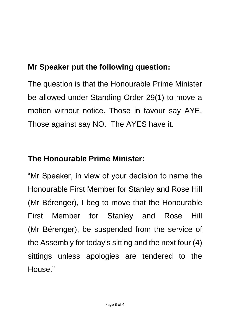# **Mr Speaker put the following question:**

The question is that the Honourable Prime Minister be allowed under Standing Order 29(1) to move a motion without notice. Those in favour say AYE. Those against say NO. The AYES have it.

## **The Honourable Prime Minister:**

"Mr Speaker, in view of your decision to name the Honourable First Member for Stanley and Rose Hill (Mr Bérenger), I beg to move that the Honourable First Member for Stanley and Rose Hill (Mr Bérenger), be suspended from the service of the Assembly for today's sitting and the next four (4) sittings unless apologies are tendered to the House."